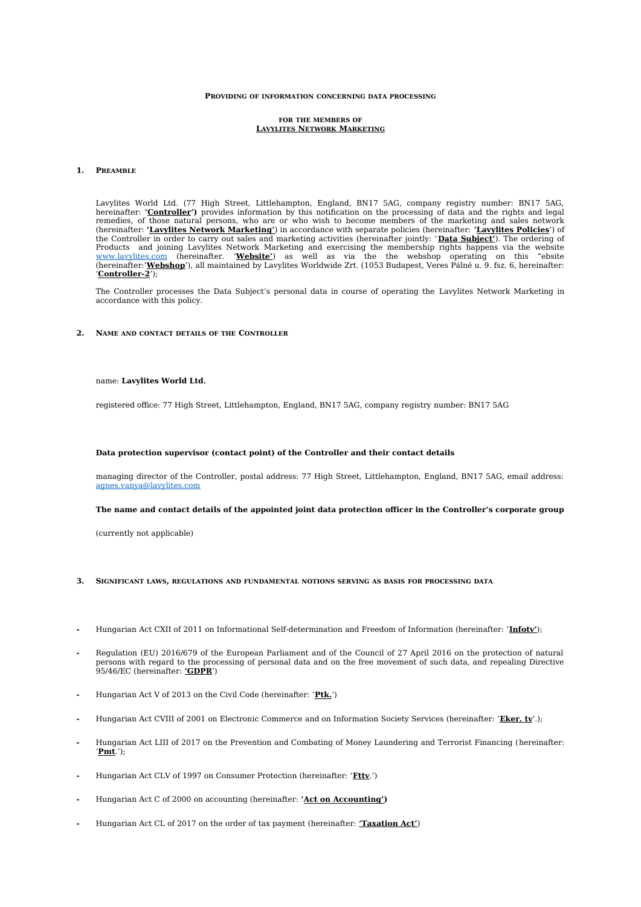### **PROVIDING OF INFORMATION CONCERNING DATA PROCESSING**

#### **FOR THE MEMBERS OF LAVYLITES NETWORK MARKETING**

# **1. PREAMBLE**

Lavylites World Ltd. (77 High Street, Littlehampton, England, BN17 5AG, company registry number: BN17 5AG, hereinafter: **'Controller')** provides information by this notification on the processing of data and the rights and legal remedies, of those natural persons, who are or who wish to become members of the marketing and sales network (hereinafter: **'Lavylites Network Marketing'**) in accordance with separate policies (hereinafter: **'Lavylites Policies**') of the Controller in order to carry out sales and marketing activities (hereinafter jointly: ' **Data Subject'**). The ordering of Products and joining Lavylites Network Marketing and exercising the membership rights happens via the website [www.lavylites.com](http://www.lavylites.com/) (hereinafter. '**Website'**) as well as via the the webshop operating on this "ebsite (hereinafter:'**Webshop**'), all maintained by Lavylites Worldwide Zrt. (1053 Budapest, Veres Pálné u. 9. fsz. 6, hereinafter: '**Controller-2**');

The Controller processes the Data Subject's personal data in course of operating the Lavylites Network Marketing in accordance with this policy.

# **2. NAME AND CONTACT DETAILS OF THE CONTROLLER**

# name: **Lavylites World Ltd.**

registered office: 77 High Street, Littlehampton, England, BN17 5AG, company registry number: BN17 5AG

### **Data protection supervisor (contact point) of the Controller and their contact details**

managing director of the Controller, postal address: 77 High Street, Littlehampton, England, BN17 5AG, email address: [agnes.vanya@lavylites.com](mailto:agnes.vanya@lavylites.com)

### **The name and contact details of the appointed joint data protection officer in the Controller's corporate group**

(currently not applicable)

- **3. SIGNIFICANT LAWS, REGULATIONS AND FUNDAMENTAL NOTIONS SERVING AS BASIS FOR PROCESSING DATA**
- **-** Hungarian Act CXII of 2011 on Informational Self-determination and Freedom of Information (hereinafter: '**Infotv'**);
- **-** Regulation (EU) 2016/679 of the European Parliament and of the Council of 27 April 2016 on the protection of natural persons with regard to the processing of personal data and on the free movement of such data, and repealing Directive 95/46/EC (hereinafter: **'GDPR**')
- **-** Hungarian Act V of 2013 on the Civil Code (hereinafter: '**Ptk.**')
- **-** Hungarian Act CVIII of 2001 on Electronic Commerce and on Information Society Services (hereinafter: '**Eker. tv**'.);
- **-** Hungarian Act LIII of 2017 on the Prevention and Combating of Money Laundering and Terrorist Financing (hereinafter: '**Pmt**.');
- **-** Hungarian Act CLV of 1997 on Consumer Protection (hereinafter: '**Fttv**.')
- **-** Hungarian Act C of 2000 on accounting (hereinafter: **'Act on Accounting')**
- **-** Hungarian Act CL of 2017 on the order of tax payment (hereinafter: **'Taxation Act'**)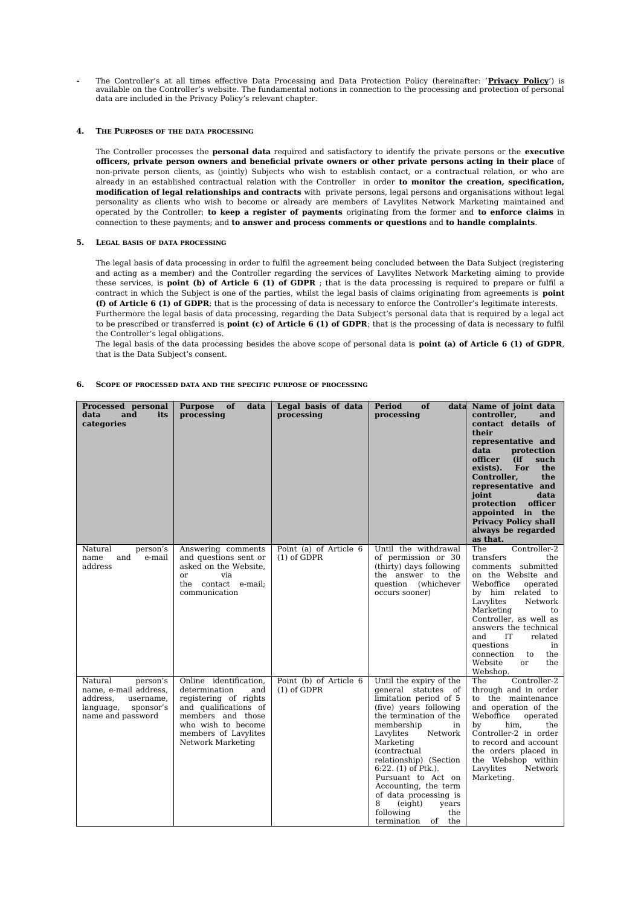**-** The Controller's at all times effective Data Processing and Data Protection Policy (hereinafter: '**Privacy Policy**') is available on the Controller's website. The fundamental notions in connection to the processing and protection of personal data are included in the Privacy Policy's relevant chapter.

## **4. THE PURPOSES OF THE DATA PROCESSING**

The Controller processes the **personal data** required and satisfactory to identify the private persons or the **executive officers, private person owners and beneficial private owners or other private persons acting in their place** of non-private person clients, as (jointly) Subjects who wish to establish contact, or a contractual relation, or who are already in an established contractual relation with the Controller in order **to monitor the creation, specification, modification of legal relationships and contracts** with private persons, legal persons and organisations without legal personality as clients who wish to become or already are members of Lavylites Network Marketing maintained and operated by the Controller; **to keep a register of payments** originating from the former and **to enforce claims** in connection to these payments; and **to answer and process comments or questions** and **to handle complaints**.

## **5. LEGAL BASIS OF DATA PROCESSING**

The legal basis of data processing in order to fulfil the agreement being concluded between the Data Subject (registering and acting as a member) and the Controller regarding the services of Lavylites Network Marketing aiming to provide these services, is **point (b) of Article 6 (1) of GDPR** ; that is the data processing is required to prepare or fulfil a contract in which the Subject is one of the parties, whilst the legal basis of claims originating from agreements is **point (f) of Article 6 (1) of GDPR**; that is the processing of data is necessary to enforce the Controller's legitimate interests. Furthermore the legal basis of data processing, regarding the Data Subject's personal data that is required by a legal act to be prescribed or transferred is **point (c) of Article 6 (1) of GDPR**; that is the processing of data is necessary to fulfil the Controller's legal obligations.

The legal basis of the data processing besides the above scope of personal data is **point (a) of Article 6 (1) of GDPR**, that is the Data Subject's consent.

# **6. SCOPE OF PROCESSED DATA AND THE SPECIFIC PURPOSE OF PROCESSING**

| Processed personal<br>and<br>data<br>its<br>categories                                                               | <b>Purpose</b><br>of<br>data<br>processing                                                                                                                                               | Legal basis of data<br>processing       | Period<br>of<br>processing                                                                                                                                                                                                                                                                                                                                                                                        | data Name of joint data<br>controller.<br>and<br>contact details of<br>their<br>representative and<br>data<br>protection<br>such<br>officer<br>(ii<br>For<br>the<br>exists).<br>Controller,<br>the<br>representative and<br>joint<br>data<br>protection<br>officer<br>appointed in the<br><b>Privacy Policy shall</b><br>always be regarded<br>as that. |
|----------------------------------------------------------------------------------------------------------------------|------------------------------------------------------------------------------------------------------------------------------------------------------------------------------------------|-----------------------------------------|-------------------------------------------------------------------------------------------------------------------------------------------------------------------------------------------------------------------------------------------------------------------------------------------------------------------------------------------------------------------------------------------------------------------|---------------------------------------------------------------------------------------------------------------------------------------------------------------------------------------------------------------------------------------------------------------------------------------------------------------------------------------------------------|
| Natural<br>person's<br>and<br>e-mail<br>name<br>address                                                              | Answering comments<br>and questions sent or<br>asked on the Website,<br>or<br>via<br>the<br>contact e-mail;<br>communication                                                             | Point (a) of Article 6<br>$(1)$ of GDPR | Until the withdrawal<br>of permission or 30<br>(thirty) days following<br>the answer to the<br>question (whichever<br>occurs sooner)                                                                                                                                                                                                                                                                              | The<br>Controller-2<br>transfers<br>the<br>comments submitted<br>on the Website and<br>Weboffice<br>operated<br>by him related to<br>Lavylites<br>Network<br>Marketing<br>to<br>Controller, as well as<br>answers the technical<br>IT<br>and<br>related<br>questions<br>in<br>connection<br>the<br>to<br>Website<br>the<br>or<br>Webshop.               |
| Natural<br>person's<br>name, e-mail address,<br>address,<br>username,<br>language,<br>sponsor's<br>name and password | Online identification,<br>determination<br>and<br>registering of rights<br>and qualifications of<br>members and those<br>who wish to become<br>members of Lavylites<br>Network Marketing | Point (b) of Article 6<br>$(1)$ of GDPR | Until the expiry of the<br>general statutes of<br>limitation period of 5<br>(five) years following<br>the termination of the<br>membership<br>in<br>Lavylites<br>Network<br>Marketing<br><i>(contractual</i> )<br>relationship) (Section<br>$6:22.$ (1) of Ptk.).<br>Pursuant to Act on<br>Accounting, the term<br>of data processing is<br>8<br>(eight)<br>years<br>following<br>the<br>termination<br>of<br>the | The<br>Controller-2<br>through and in order<br>to the maintenance<br>and operation of the<br>Weboffice<br>operated<br>him.<br>the<br>by<br>Controller-2 in order<br>to record and account<br>the orders placed in<br>the Webshop within<br>Lavylites<br>Network<br>Marketing.                                                                           |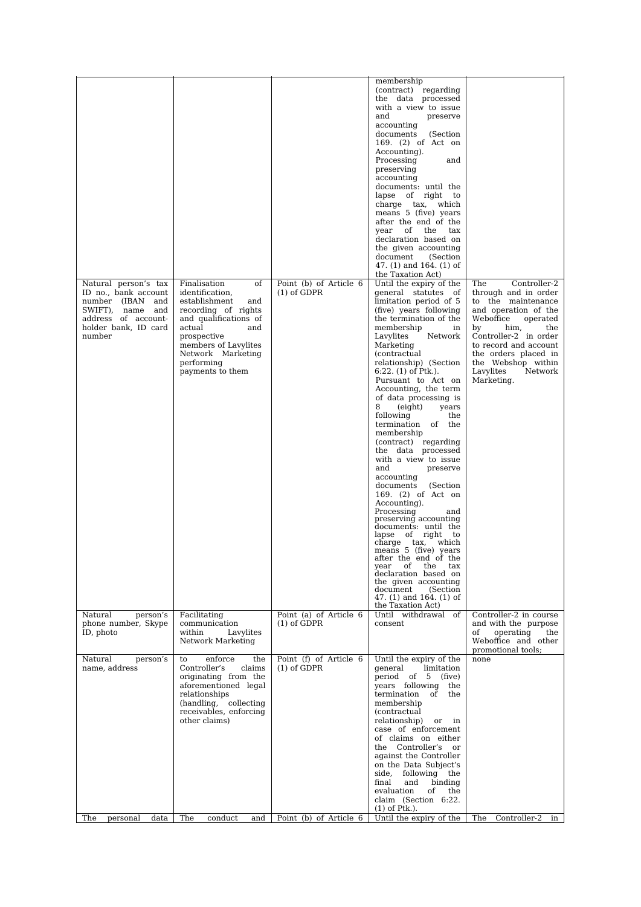| Natural person's tax                                                                                                     | Finalisation<br>of                                                                                                                                                                                           | Point (b) of Article 6                                            | membership<br>(contract) regarding<br>the data processed<br>with a view to issue<br>and<br>preserve<br>accounting<br>documents<br>(Section<br>169. (2) of Act on<br>Accounting).<br>Processing<br>and<br>preserving<br>accounting<br>documents: until the<br>lapse of right to<br>charge tax, which<br>means 5 (five) years<br>after the end of the<br>year of the<br>tax<br>declaration based on<br>the given accounting<br>document<br>(Section)<br>47. $(1)$ and 164. $(1)$ of<br>the Taxation Act)<br>Until the expiry of the                                                                                                                                                                                                                                                                                                                                                         | The<br>Controller-2                                                                                                                                                                                                                                    |
|--------------------------------------------------------------------------------------------------------------------------|--------------------------------------------------------------------------------------------------------------------------------------------------------------------------------------------------------------|-------------------------------------------------------------------|-------------------------------------------------------------------------------------------------------------------------------------------------------------------------------------------------------------------------------------------------------------------------------------------------------------------------------------------------------------------------------------------------------------------------------------------------------------------------------------------------------------------------------------------------------------------------------------------------------------------------------------------------------------------------------------------------------------------------------------------------------------------------------------------------------------------------------------------------------------------------------------------|--------------------------------------------------------------------------------------------------------------------------------------------------------------------------------------------------------------------------------------------------------|
| ID no., bank account<br>number (IBAN and<br>SWIFT), name<br>and<br>address of account-<br>holder bank, ID card<br>number | identification.<br>establishment<br>and<br>recording of rights<br>and qualifications of<br>actual<br>and<br>prospective<br>members of Lavylites<br>Network Marketing<br>performing<br>payments to them       | $(1)$ of GDPR                                                     | general statutes of<br>limitation period of 5<br>(five) years following<br>the termination of the<br>membership<br>in<br>Lavylites<br>Network<br>Marketing<br><i>(contractual</i><br>relationship) (Section<br>$6:22.$ (1) of Ptk.).<br>Pursuant to Act on<br>Accounting, the term<br>of data processing is<br>8<br>(eight)<br>years<br>following<br>the<br>termination of the<br>membership<br>(contract) regarding<br>the data processed<br>with a view to issue<br>and<br>preserve<br>accounting<br>documents<br>(Section<br>169. (2) of Act on<br>Accounting).<br>Processing<br>and<br>preserving accounting<br>documents: until the<br>lapse of right to<br>charge tax,<br>which<br>means 5 (five) years<br>after the end of the<br>of<br>the<br>tax<br>year<br>declaration based on<br>the given accounting<br>document<br>(Section<br>47. (1) and 164. (1) of<br>the Taxation Act) | through and in order<br>to the maintenance<br>and operation of the<br>Weboffice<br>operated<br>by<br>him,<br>the<br>Controller-2 in order<br>to record and account<br>the orders placed in<br>the Webshop within<br>Lavylites<br>Network<br>Marketing. |
| Natural<br>person's<br>phone number, Skype<br>ID, photo                                                                  | Facilitating<br>communication<br>within<br>Lavylites<br>Network Marketing                                                                                                                                    | Point (a) of Article 6<br>$(1)$ of GDPR                           | Until withdrawal of<br>consent                                                                                                                                                                                                                                                                                                                                                                                                                                                                                                                                                                                                                                                                                                                                                                                                                                                            | Controller-2 in course<br>and with the purpose<br>operating<br>of<br>the<br>Weboffice and other<br>promotional tools;                                                                                                                                  |
| Natural<br>person's<br>name, address<br>The<br>personal data                                                             | enforce<br>the<br>to<br>Controller's<br>claims<br>originating from the<br>aforementioned legal<br>relationships<br>(handling, collecting<br>receivables, enforcing<br>other claims)<br>conduct<br>The<br>and | Point (f) of Article 6<br>$(1)$ of GDPR<br>Point (b) of Article 6 | Until the expiry of the<br>general<br>limitation<br>period of 5 (five)<br>years following the<br>termination<br>of<br>the<br>membership<br>(contractual<br>relationship)<br>or<br>in<br>case of enforcement<br>of claims on either<br>the Controller's<br>or<br>against the Controller<br>on the Data Subject's<br>following the<br>side,<br>binding<br>final<br>and<br>evaluation<br>of<br>the<br>claim (Section 6:22.<br>$(1)$ of Ptk.).<br>Until the expiry of the                                                                                                                                                                                                                                                                                                                                                                                                                     | none<br>The Controller-2<br>in                                                                                                                                                                                                                         |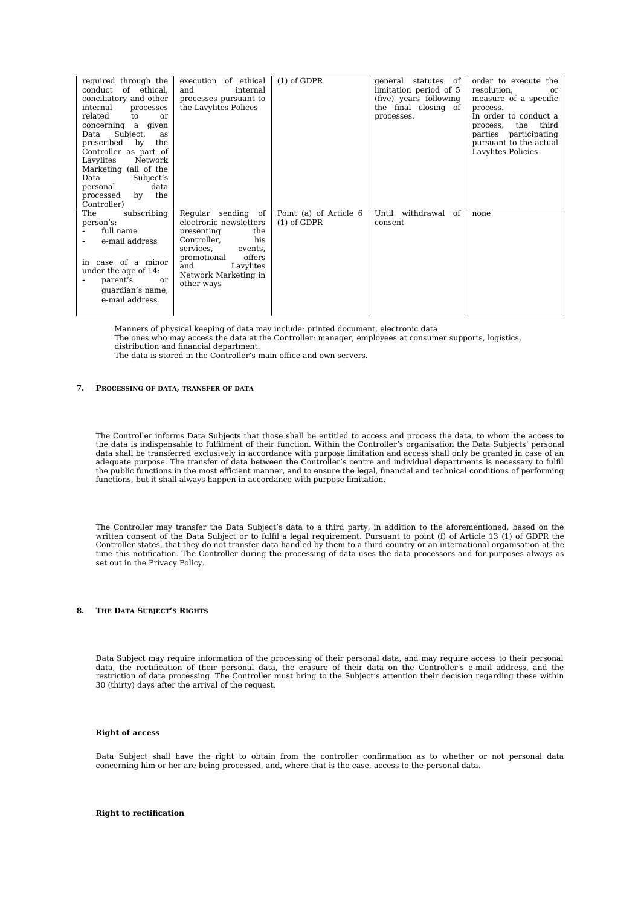| required through the                        | of ethical<br>execution | $(1)$ of GDPR          | of<br>qeneral<br>statutes | order to execute the     |
|---------------------------------------------|-------------------------|------------------------|---------------------------|--------------------------|
| of ethical,<br>conduct                      | and<br>internal         |                        | limitation period of 5    | resolution,<br>or        |
| conciliatory and other                      | processes pursuant to   |                        | (five) years following    | measure of a specific    |
| internal<br>processes                       | the Lavylites Polices   |                        | the final closing of      | process.                 |
| related<br>t.o<br>or                        |                         |                        | processes.                | In order to conduct a    |
| concerning a<br>qiven                       |                         |                        |                           | third<br>the<br>process, |
| Subject,<br>Data<br>as                      |                         |                        |                           | parties participating    |
| prescribed<br>$_{\rm bv}$<br>the            |                         |                        |                           | pursuant to the actual   |
| Controller as part of                       |                         |                        |                           | Lavylites Policies       |
| Lavylites<br>Network                        |                         |                        |                           |                          |
| Marketing (all of the                       |                         |                        |                           |                          |
| Data<br>Subject's                           |                         |                        |                           |                          |
| data<br>personal                            |                         |                        |                           |                          |
| the<br>$\mathbf{b} \mathbf{v}$<br>processed |                         |                        |                           |                          |
| Controller)                                 |                         |                        |                           |                          |
| subscribing<br>The                          | Regular sending of      | Point (a) of Article 6 | Until<br>withdrawal of    | none                     |
| person's:                                   | electronic newsletters  | $(1)$ of GDPR          | consent                   |                          |
| full name                                   | the<br>presenting       |                        |                           |                          |
| e-mail address                              | his<br>Controller,      |                        |                           |                          |
|                                             | services,<br>events.    |                        |                           |                          |
|                                             | offers<br>promotional   |                        |                           |                          |
| in case of a minor                          | and<br>Lavylites        |                        |                           |                          |
| under the age of 14:                        | Network Marketing in    |                        |                           |                          |
| parent's<br>or                              | other ways              |                        |                           |                          |
| quardian's name,                            |                         |                        |                           |                          |
| e-mail address.                             |                         |                        |                           |                          |
|                                             |                         |                        |                           |                          |

Manners of physical keeping of data may include: printed document, electronic data

The ones who may access the data at the Controller: manager, employees at consumer supports, logistics,

distribution and financial department.

The data is stored in the Controller's main office and own servers.

### **7. PROCESSING OF DATA, TRANSFER OF DATA**

The Controller informs Data Subjects that those shall be entitled to access and process the data, to whom the access to the data is indispensable to fulfilment of their function. Within the Controller's organisation the Data Subjects' personal data shall be transferred exclusively in accordance with purpose limitation and access shall only be granted in case of an adequate purpose. The transfer of data between the Controller's centre and individual departments is necessary to fulfil the public functions in the most efficient manner, and to ensure the legal, financial and technical conditions of performing functions, but it shall always happen in accordance with purpose limitation.

The Controller may transfer the Data Subject's data to a third party, in addition to the aforementioned, based on the written consent of the Data Subject or to fulfil a legal requirement. Pursuant to point (f) of Article 13 (1) of GDPR the Controller states, that they do not transfer data handled by them to a third country or an international organisation at the time this notification. The Controller during the processing of data uses the data processors and for purposes always as set out in the Privacy Policy.

### **8. THE DATA SUBJECT'S RIGHTS**

Data Subject may require information of the processing of their personal data, and may require access to their personal data, the rectification of their personal data, the erasure of their data on the Controller's e-mail address, and the restriction of data processing. The Controller must bring to the Subject's attention their decision regarding these within 30 (thirty) days after the arrival of the request.

### **Right of access**

Data Subject shall have the right to obtain from the controller confirmation as to whether or not personal data concerning him or her are being processed, and, where that is the case, access to the personal data.